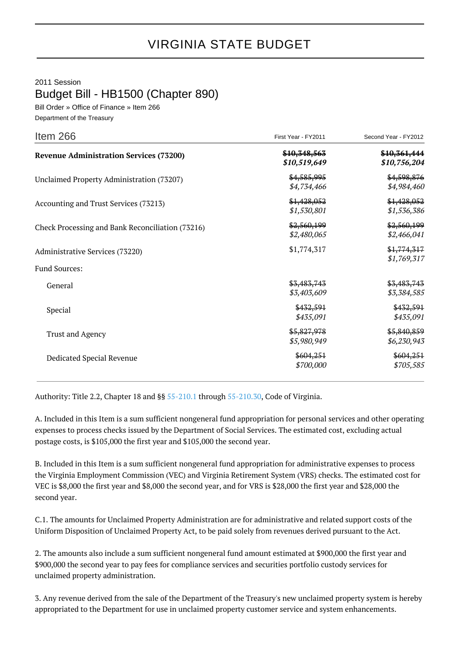## VIRGINIA STATE BUDGET

2011 Session

Budget Bill - HB1500 (Chapter 890)

Bill Order » Office of Finance » Item 266 Department of the Treasury

| Item 266                                         | First Year - FY2011          | Second Year - FY2012         |
|--------------------------------------------------|------------------------------|------------------------------|
| <b>Revenue Administration Services (73200)</b>   | \$10,348,563<br>\$10,519,649 | \$10,361,444<br>\$10,756,204 |
| Unclaimed Property Administration (73207)        | \$4,585,995<br>\$4,734,466   | \$4,598,876<br>\$4,984,460   |
| Accounting and Trust Services (73213)            | \$1,428,052<br>\$1,530,801   | \$1,428,052<br>\$1,536,386   |
| Check Processing and Bank Reconciliation (73216) | \$2,560,199<br>\$2,480,065   | \$2,560,199<br>\$2,466,041   |
| Administrative Services (73220)                  | \$1,774,317                  | \$1,774,317<br>\$1,769,317   |
| <b>Fund Sources:</b>                             |                              |                              |
| General                                          | \$3,483,743<br>\$3,403,609   | \$3,483,743<br>\$3,384,585   |
| Special                                          | \$432,591<br>\$435,091       | \$432,591<br>\$435,091       |
| <b>Trust and Agency</b>                          | \$5,827,978<br>\$5,980,949   | \$5,840,859<br>\$6,230,943   |
| Dedicated Special Revenue                        | \$604,251<br>\$700,000       | \$604,251<br>\$705,585       |
|                                                  |                              |                              |

Authority: Title 2.2, Chapter 18 and §§ [55-210.1](http://law.lis.virginia.gov/vacode/55-210.1/) through [55-210.30,](http://law.lis.virginia.gov/vacode/55-210.30/) Code of Virginia.

A. Included in this Item is a sum sufficient nongeneral fund appropriation for personal services and other operating expenses to process checks issued by the Department of Social Services. The estimated cost, excluding actual postage costs, is \$105,000 the first year and \$105,000 the second year.

B. Included in this Item is a sum sufficient nongeneral fund appropriation for administrative expenses to process the Virginia Employment Commission (VEC) and Virginia Retirement System (VRS) checks. The estimated cost for VEC is \$8,000 the first year and \$8,000 the second year, and for VRS is \$28,000 the first year and \$28,000 the second year.

C.1. The amounts for Unclaimed Property Administration are for administrative and related support costs of the Uniform Disposition of Unclaimed Property Act, to be paid solely from revenues derived pursuant to the Act.

2. The amounts also include a sum sufficient nongeneral fund amount estimated at \$900,000 the first year and \$900,000 the second year to pay fees for compliance services and securities portfolio custody services for unclaimed property administration.

3. Any revenue derived from the sale of the Department of the Treasury's new unclaimed property system is hereby appropriated to the Department for use in unclaimed property customer service and system enhancements.